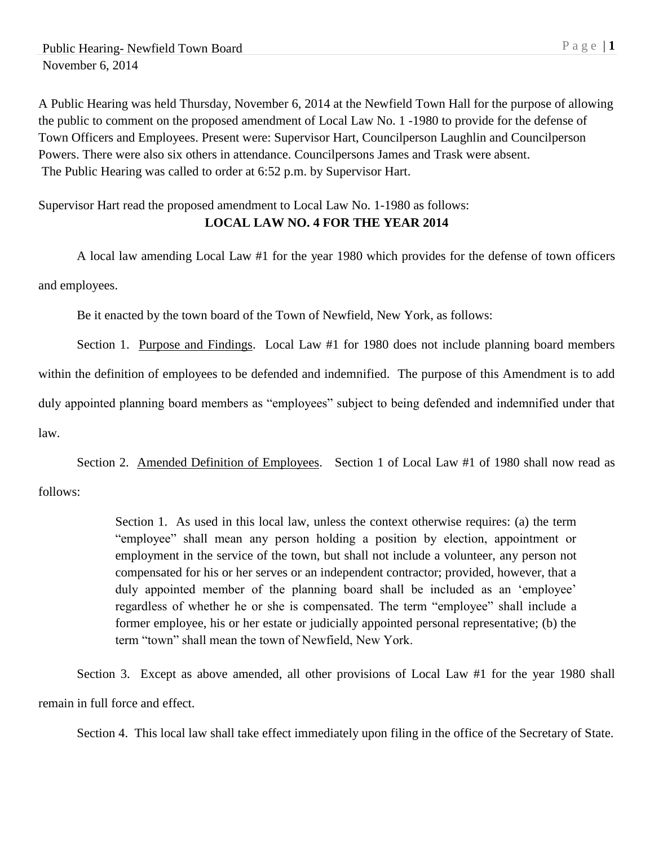A Public Hearing was held Thursday, November 6, 2014 at the Newfield Town Hall for the purpose of allowing the public to comment on the proposed amendment of Local Law No. 1 -1980 to provide for the defense of Town Officers and Employees. Present were: Supervisor Hart, Councilperson Laughlin and Councilperson Powers. There were also six others in attendance. Councilpersons James and Trask were absent. The Public Hearing was called to order at 6:52 p.m. by Supervisor Hart.

## Supervisor Hart read the proposed amendment to Local Law No. 1-1980 as follows: **LOCAL LAW NO. 4 FOR THE YEAR 2014**

A local law amending Local Law #1 for the year 1980 which provides for the defense of town officers and employees.

Be it enacted by the town board of the Town of Newfield, New York, as follows:

Section 1. Purpose and Findings. Local Law #1 for 1980 does not include planning board members within the definition of employees to be defended and indemnified. The purpose of this Amendment is to add duly appointed planning board members as "employees" subject to being defended and indemnified under that law.

Section 2. Amended Definition of Employees. Section 1 of Local Law #1 of 1980 shall now read as follows:

> Section 1. As used in this local law, unless the context otherwise requires: (a) the term "employee" shall mean any person holding a position by election, appointment or employment in the service of the town, but shall not include a volunteer, any person not compensated for his or her serves or an independent contractor; provided, however, that a duly appointed member of the planning board shall be included as an 'employee' regardless of whether he or she is compensated. The term "employee" shall include a former employee, his or her estate or judicially appointed personal representative; (b) the term "town" shall mean the town of Newfield, New York.

Section 3. Except as above amended, all other provisions of Local Law #1 for the year 1980 shall remain in full force and effect.

Section 4. This local law shall take effect immediately upon filing in the office of the Secretary of State.